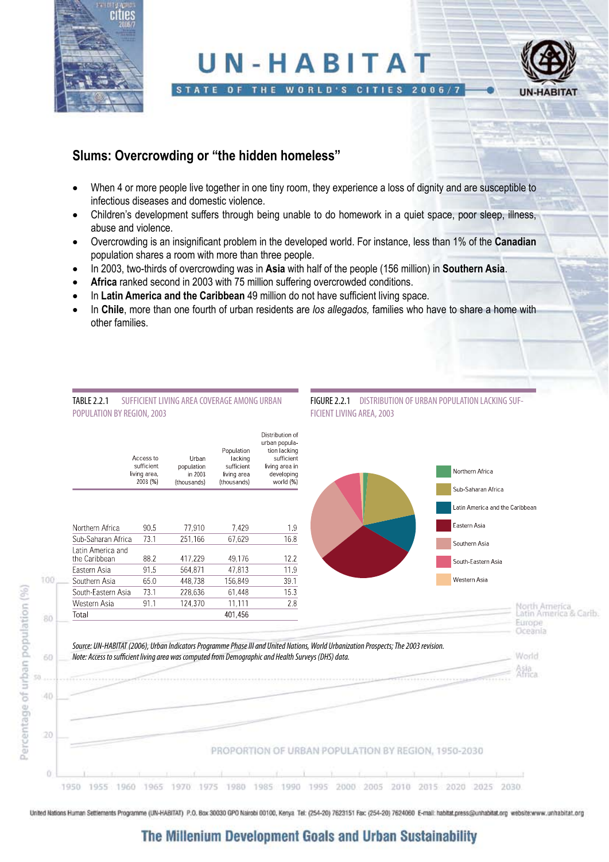

# UN-HABITAT



#### STATE OF THE WORLD'S CITIES 2006/7

### **Slums: Overcrowding or "the hidden homeless"**

- When 4 or more people live together in one tiny room, they experience a loss of dignity and are susceptible to infectious diseases and domestic violence.
- Children's development suffers through being unable to do homework in a quiet space, poor sleep, illness, abuse and violence.
- • Overcrowding is an insignificant problem in the developed world. For instance, less than 1% of the **Canadian** population shares a room with more than three people.
- • In 2003, two-thirds of overcrowding was in **Asia** with half of the people (156 million) in **Southern Asia**.
- Africa ranked second in 2003 with 75 million suffering overcrowded conditions.
- In Latin America and the Caribbean 49 million do not have sufficient living space.
- In Chile, more than one fourth of urban residents are *los allegados*, families who have to share a home with other families.

#### TABLE 2.2.1 SUFFICIENT LIVING AREA COVERAGE AMONG URBAN POPULATION BY REGION, 2003

Urban

in 2003

77,910

251,166

417.229

564.871

448.738

228,636

population

(thousands)

Access to

sufficient

 $2003(96)$ 

90.5

73.1

882

 $91.5$ 

 $65.0$ 

73.1

Northern Africa

Sub-Saharan Africa

Latin America and

South-Eastern Asia

the Caribbean

Fastern Asia

Southern Asia

living area





1950 1955 1960 1965 1970 1975 1980 1985 1990 1995 2000 2005 2010 2015 2020 2025 2030

United Nations Human Settlements Programme (UN-HABITAT) P.O. Box 30030 GPO Nairobi 00100, Kenya Tel: (254-20) 7623151 Fax: (254-20) 7624060 E-mail: habitat.press@unhabitat.org website:www.unhabitat.org

# The Millenium Development Goals and Urban Sustainability